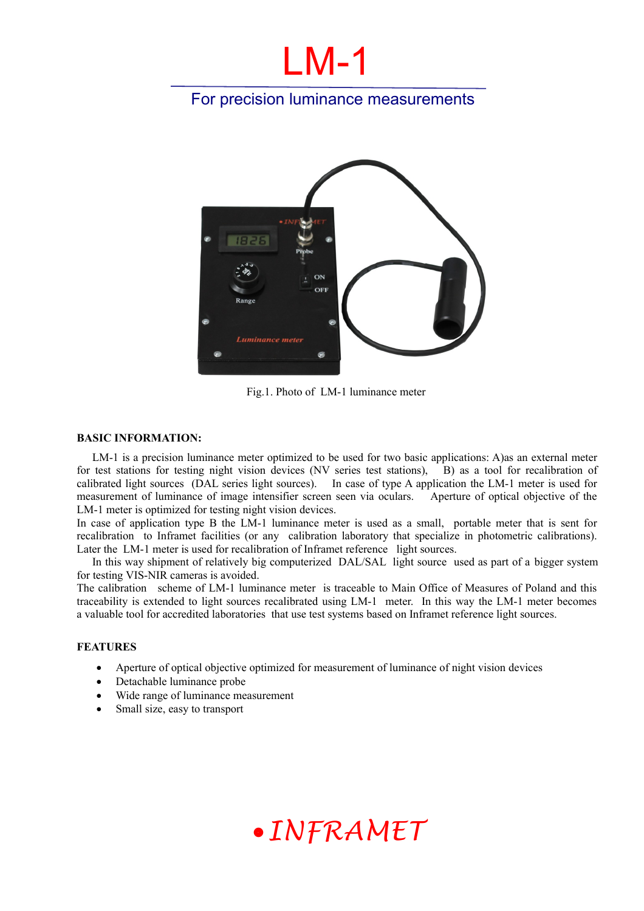# LM-1

### For precision luminance measurements



Fig.1. Photo of LM-1 luminance meter

### **BASIC INFORMATION:**

LM-1 is a precision luminance meter optimized to be used for two basic applications: A)as an external meter for test stations for testing night vision devices (NV series test stations), B) as a tool for recalibration of calibrated light sources (DAL series light sources). In case of type A application the LM-1 meter is used for measurement of luminance of image intensifier screen seen via oculars. Aperture of optical objective of the LM-1 meter is optimized for testing night vision devices.

In case of application type B the LM-1 luminance meter is used as a small, portable meter that is sent for recalibration to Inframet facilities (or any calibration laboratory that specialize in photometric calibrations). Later the LM-1 meter is used for recalibration of Inframet reference light sources.

In this way shipment of relatively big computerized DAL/SAL light source used as part of a bigger system for testing VIS-NIR cameras is avoided.

The calibration scheme of LM-1 luminance meter is traceable to Main Office of Measures of Poland and this traceability is extended to light sources recalibrated using LM-1 meter. In this way the LM-1 meter becomes a valuable tool for accredited laboratories that use test systems based on Inframet reference light sources.

#### **FEATURES**

- Aperture of optical objective optimized for measurement of luminance of night vision devices
- Detachable luminance probe
- Wide range of luminance measurement
- Small size, easy to transport

## *INFRAMET*